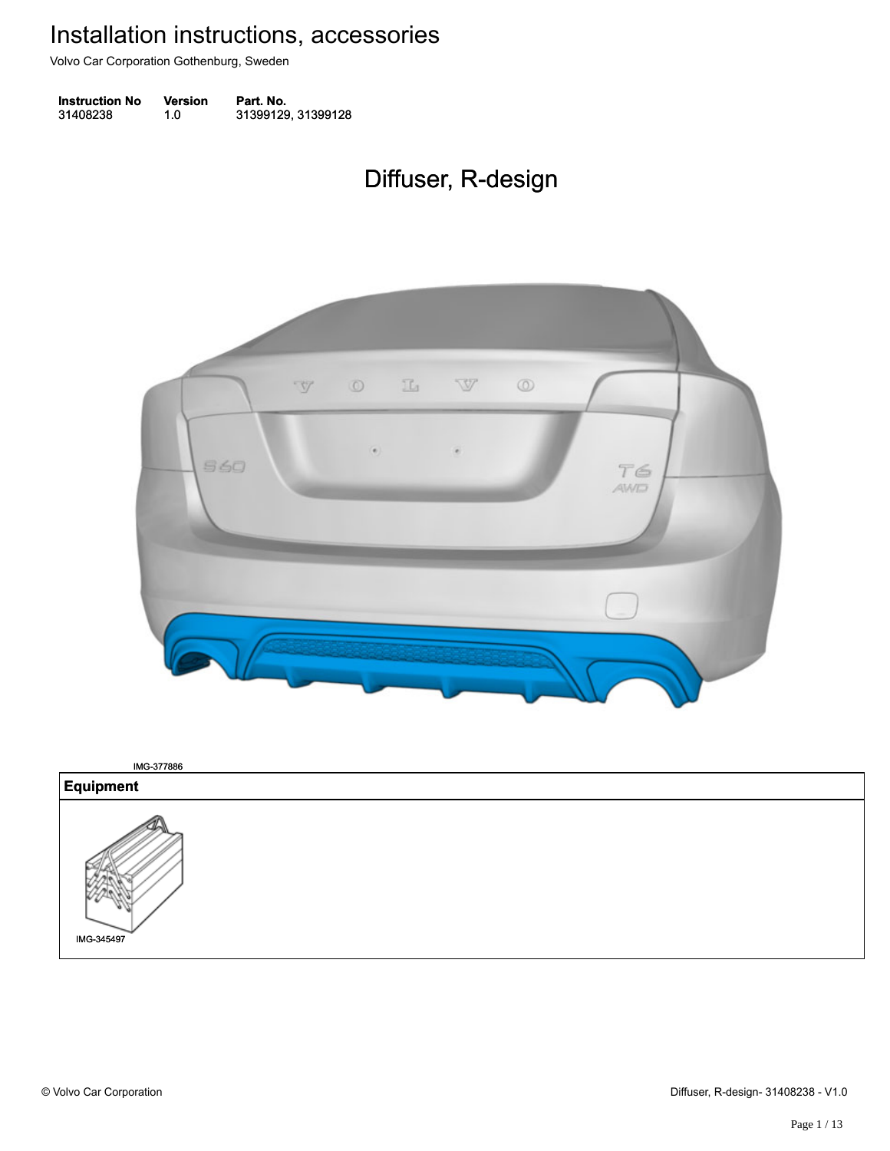Volvo Car Corporation Gothenburg, Sweden

| <b>Instruction No</b> | <b>Version</b> | Part. No.          |
|-----------------------|----------------|--------------------|
| 31408238              | 1.0            | 31399129, 31399128 |

## Diffuser, R-design Diffuser, R-design



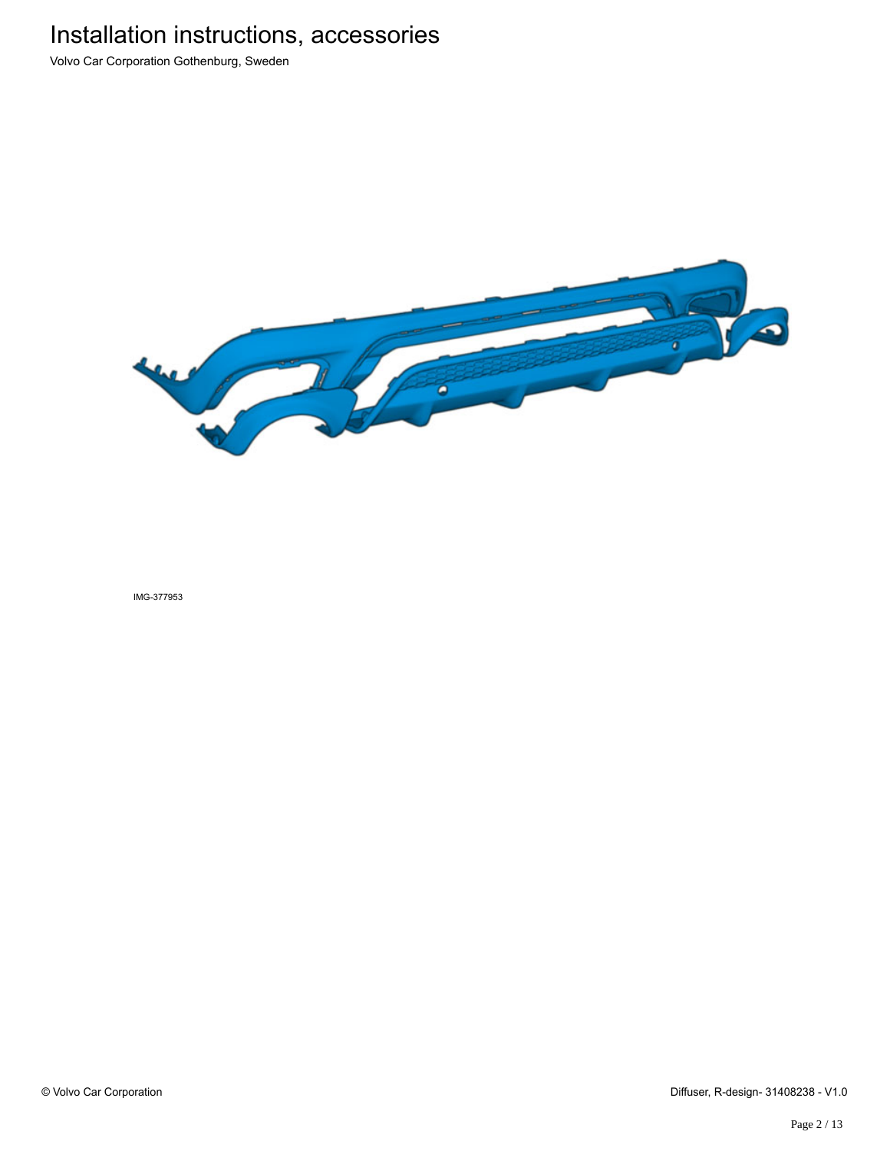Volvo Car Corporation Gothenburg, Sweden

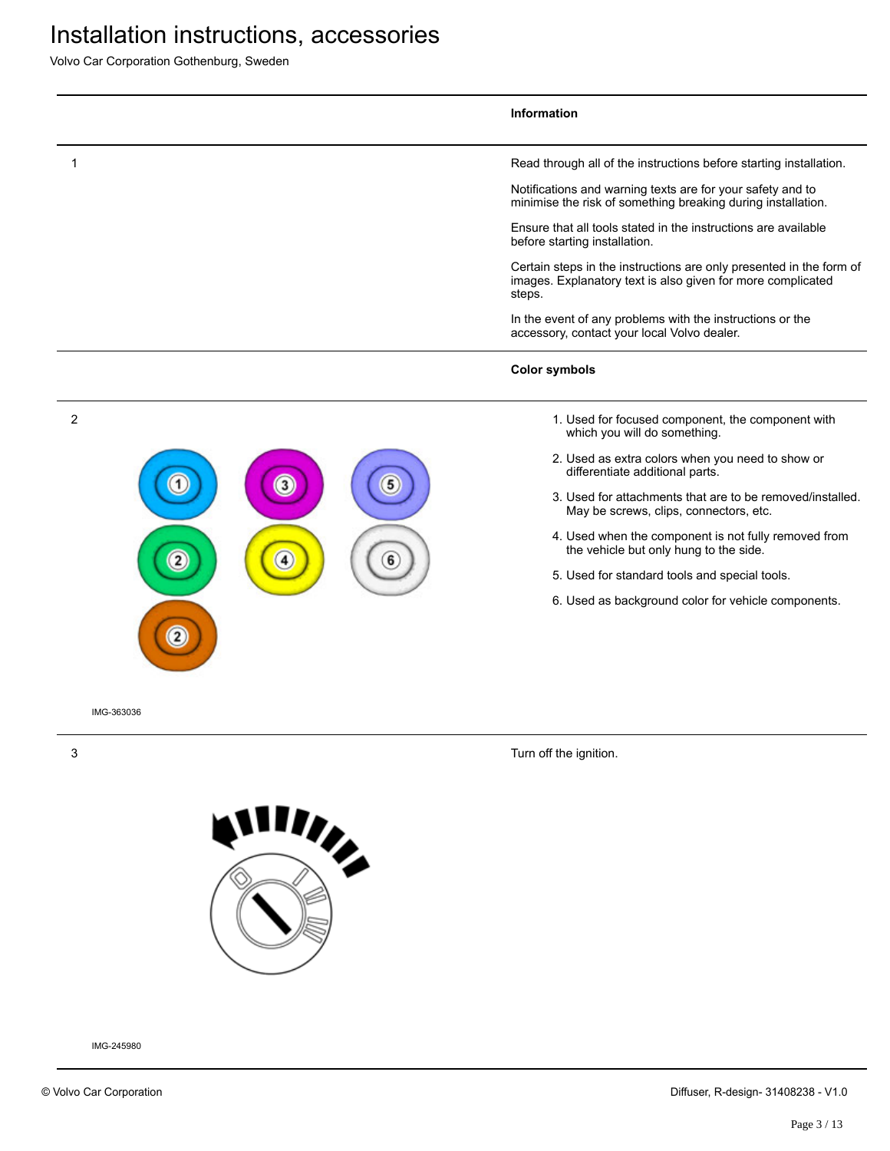Volvo Car Corporation Gothenburg, Sweden

|                     |                   | <b>Information</b>                                                                                                                                                                                                                                                                                                                                                                                                                                                                                                                                              |
|---------------------|-------------------|-----------------------------------------------------------------------------------------------------------------------------------------------------------------------------------------------------------------------------------------------------------------------------------------------------------------------------------------------------------------------------------------------------------------------------------------------------------------------------------------------------------------------------------------------------------------|
|                     |                   | Read through all of the instructions before starting installation.<br>Notifications and warning texts are for your safety and to<br>minimise the risk of something breaking during installation.<br>Ensure that all tools stated in the instructions are available<br>before starting installation.<br>Certain steps in the instructions are only presented in the form of<br>images. Explanatory text is also given for more complicated<br>steps.<br>In the event of any problems with the instructions or the<br>accessory, contact your local Volvo dealer. |
|                     |                   | <b>Color symbols</b>                                                                                                                                                                                                                                                                                                                                                                                                                                                                                                                                            |
| 2<br>$\overline{2}$ | $\mathbf{3}$<br>4 | 1. Used for focused component, the component with<br>which you will do something.<br>2. Used as extra colors when you need to show or<br>differentiate additional parts.<br>3. Used for attachments that are to be removed/installed.<br>May be screws, clips, connectors, etc.<br>4. Used when the component is not fully removed from<br>the vehicle but only hung to the side.<br>6<br>5. Used for standard tools and special tools.<br>6. Used as background color for vehicle components.                                                                  |
| IMG-363036          |                   |                                                                                                                                                                                                                                                                                                                                                                                                                                                                                                                                                                 |
| 3                   |                   | Turn off the ignition.                                                                                                                                                                                                                                                                                                                                                                                                                                                                                                                                          |

**Alling**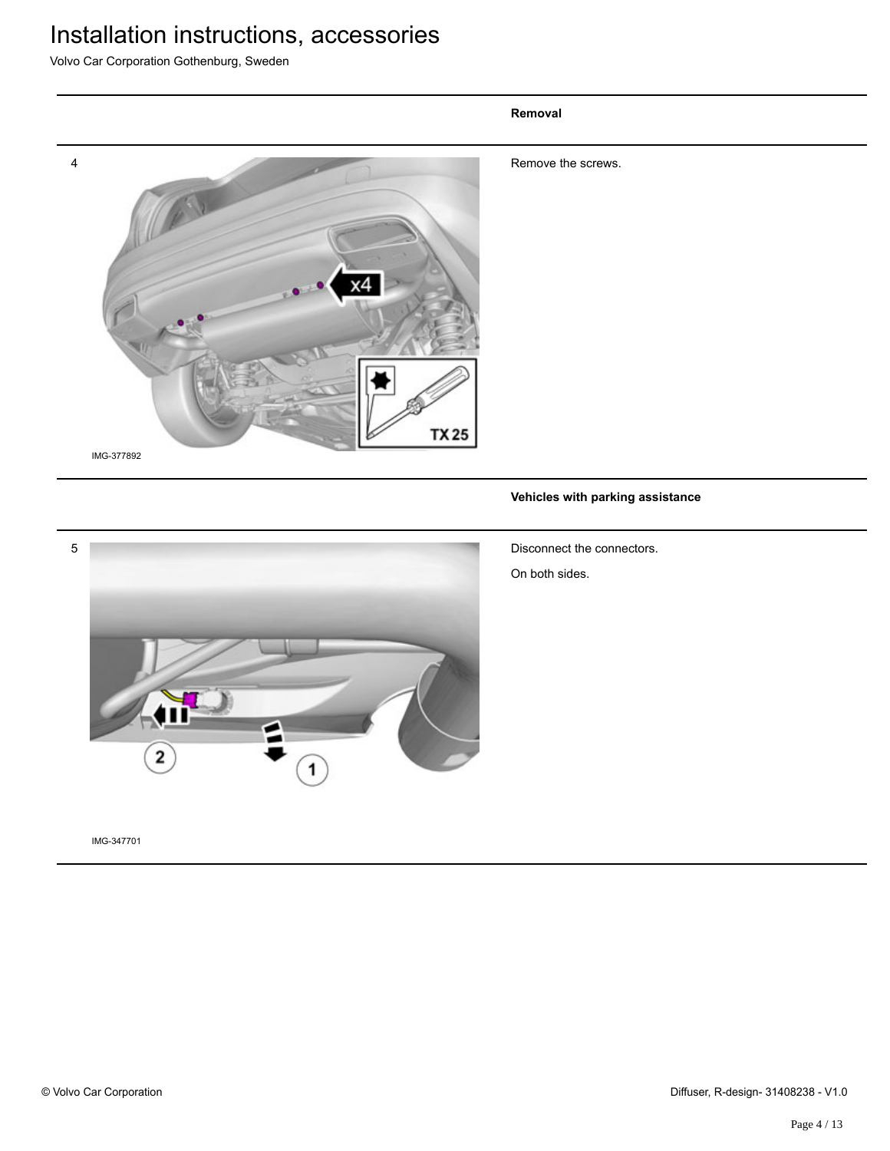Volvo Car Corporation Gothenburg, Sweden

# 4 Remove the screws. **TX25** IMG-377892

**Removal**

### **Vehicles with parking assistance**



IMG-347701

Disconnect the connectors.

On both sides.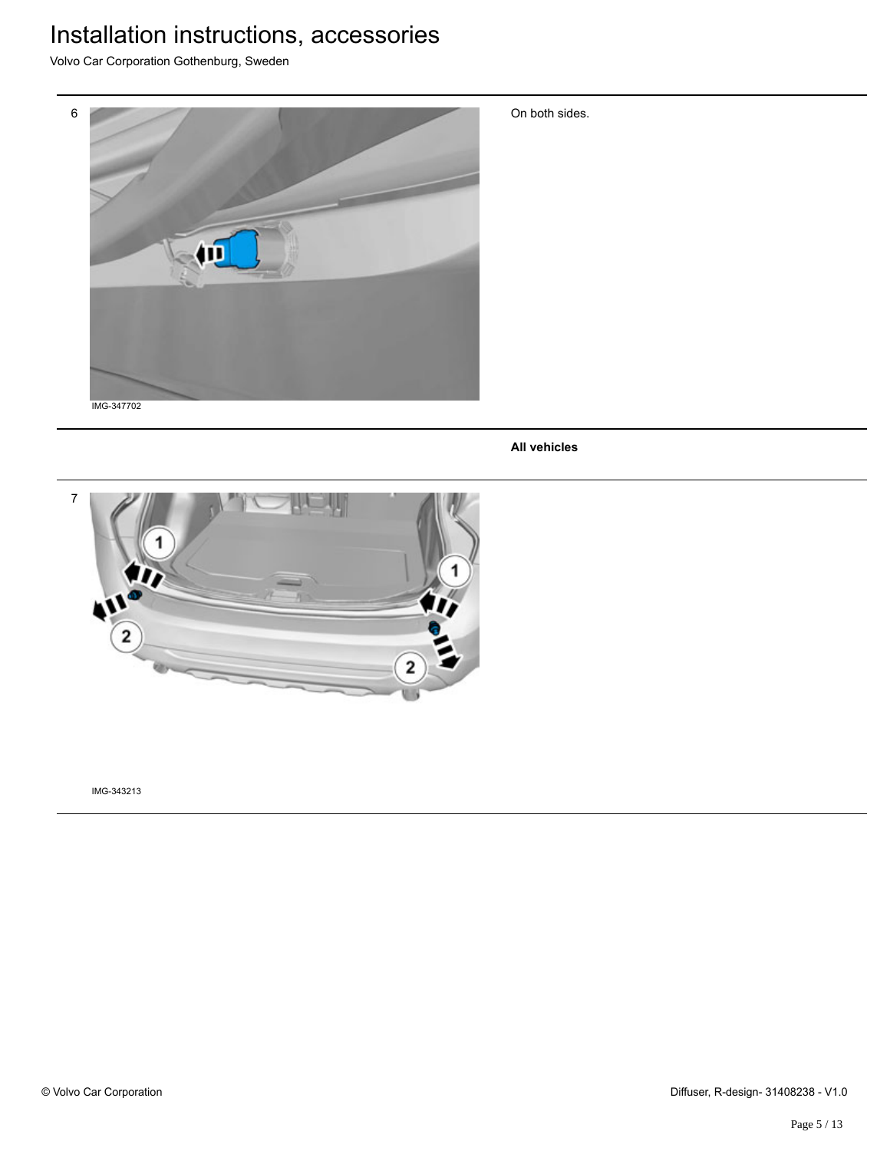Volvo Car Corporation Gothenburg, Sweden



On both sides.

**All vehicles**

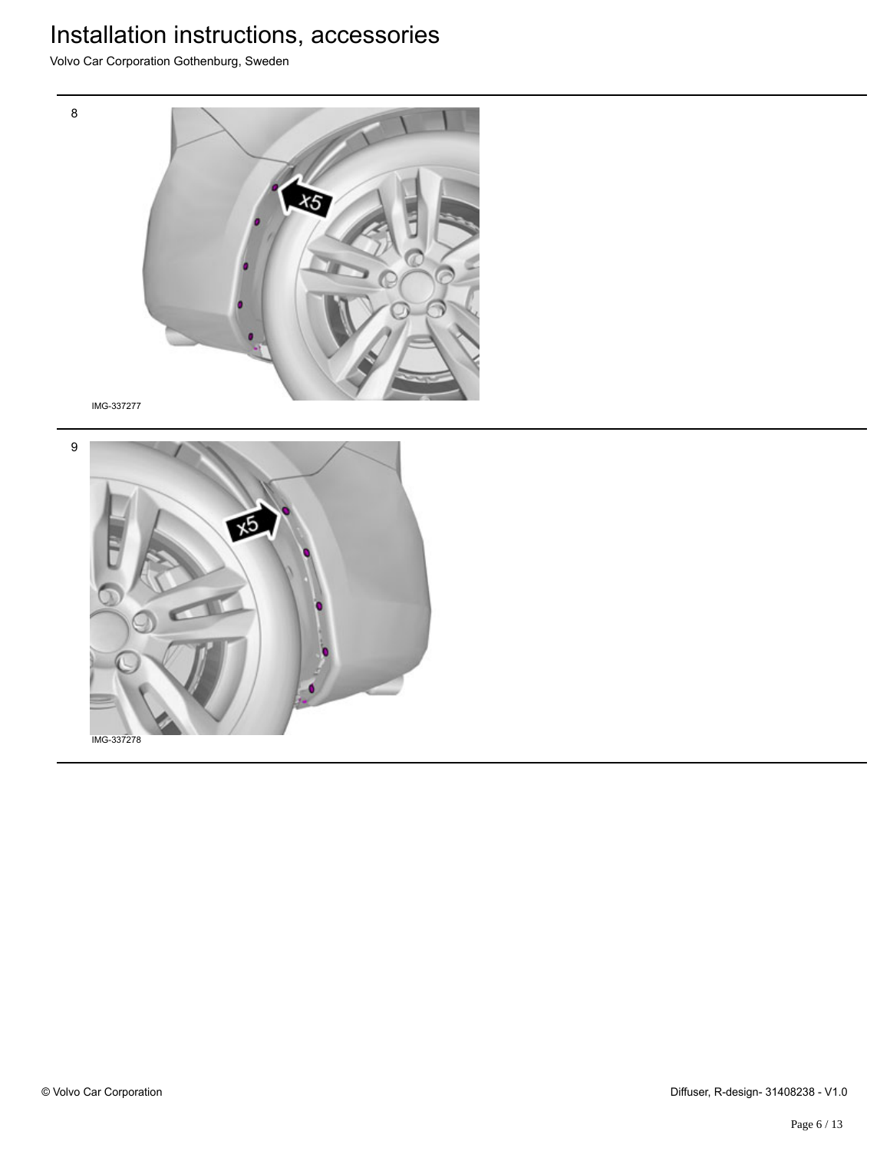Volvo Car Corporation Gothenburg, Sweden



IMG-337277

8

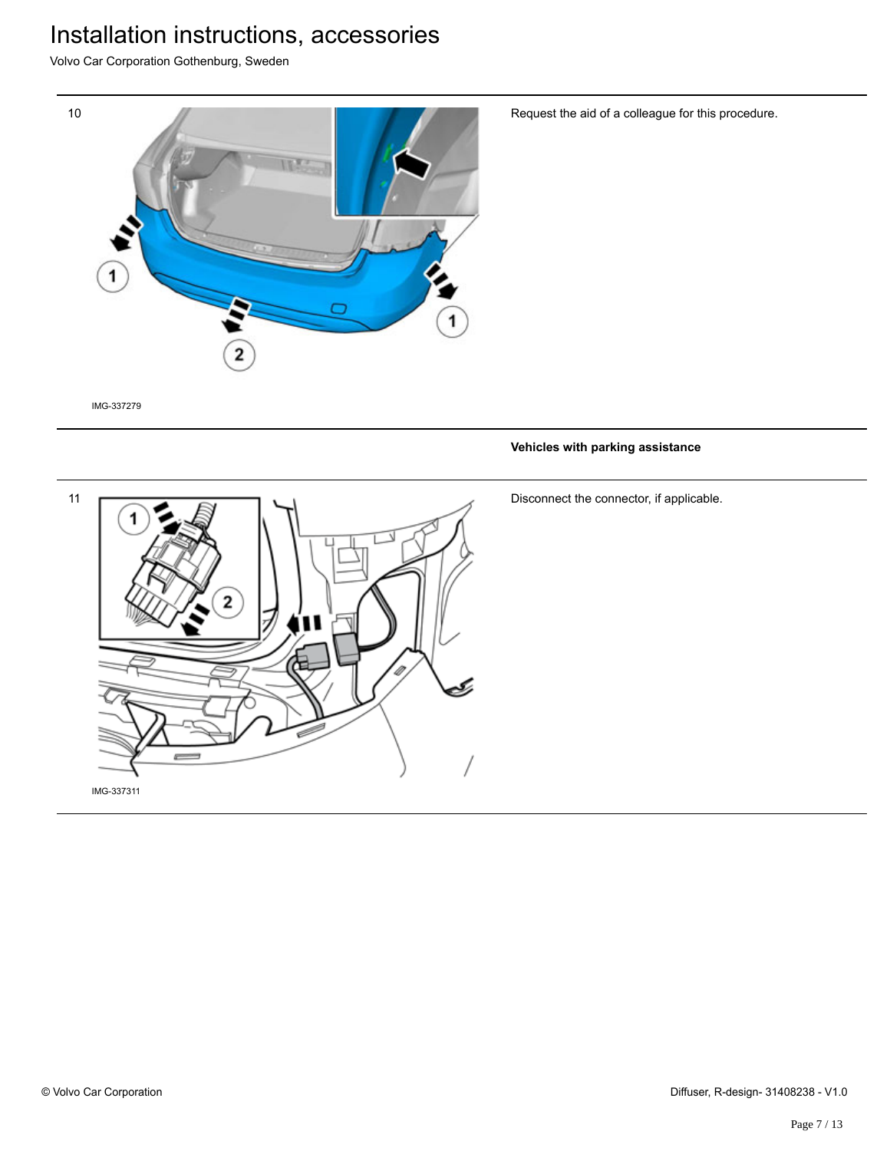Volvo Car Corporation Gothenburg, Sweden



Request the aid of a colleague for this procedure.

IMG-337279

#### **Vehicles with parking assistance**



Disconnect the connector, if applicable.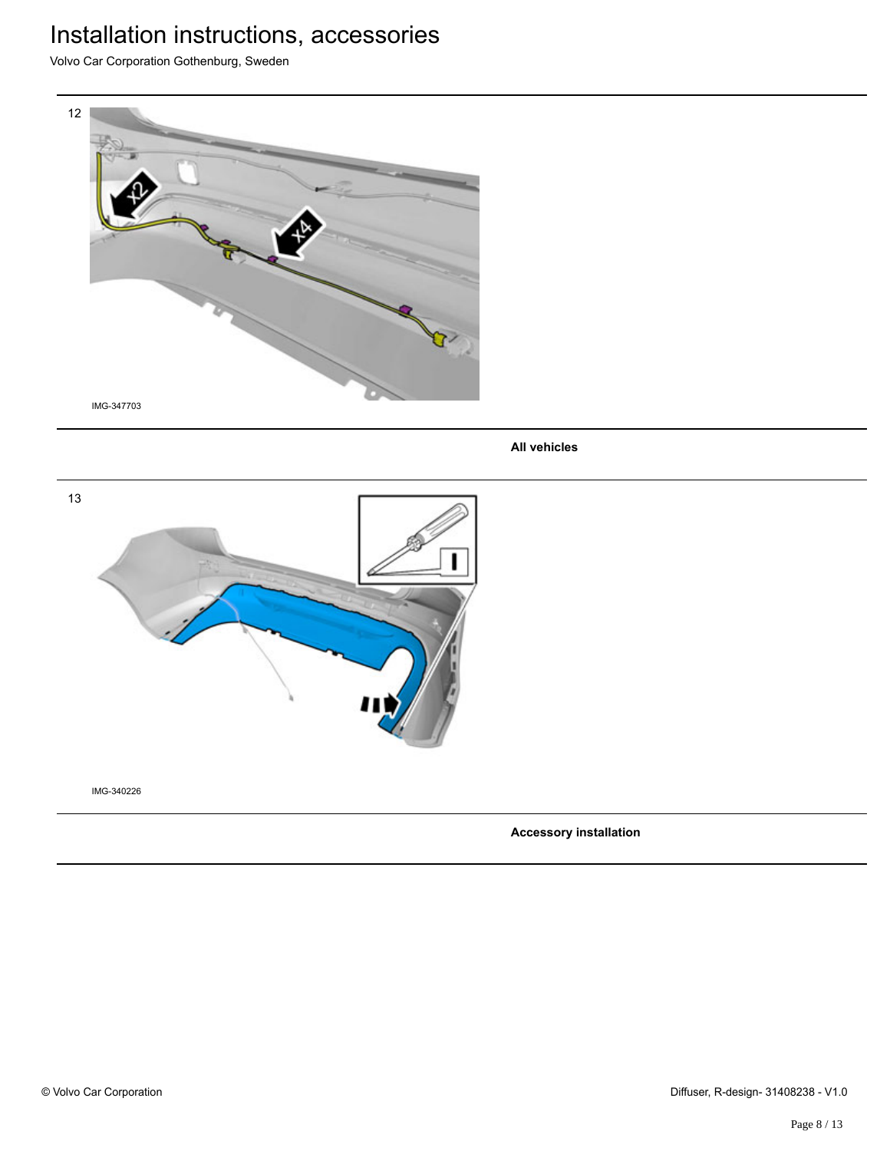Volvo Car Corporation Gothenburg, Sweden



**All vehicles**



IMG-340226

**Accessory installation**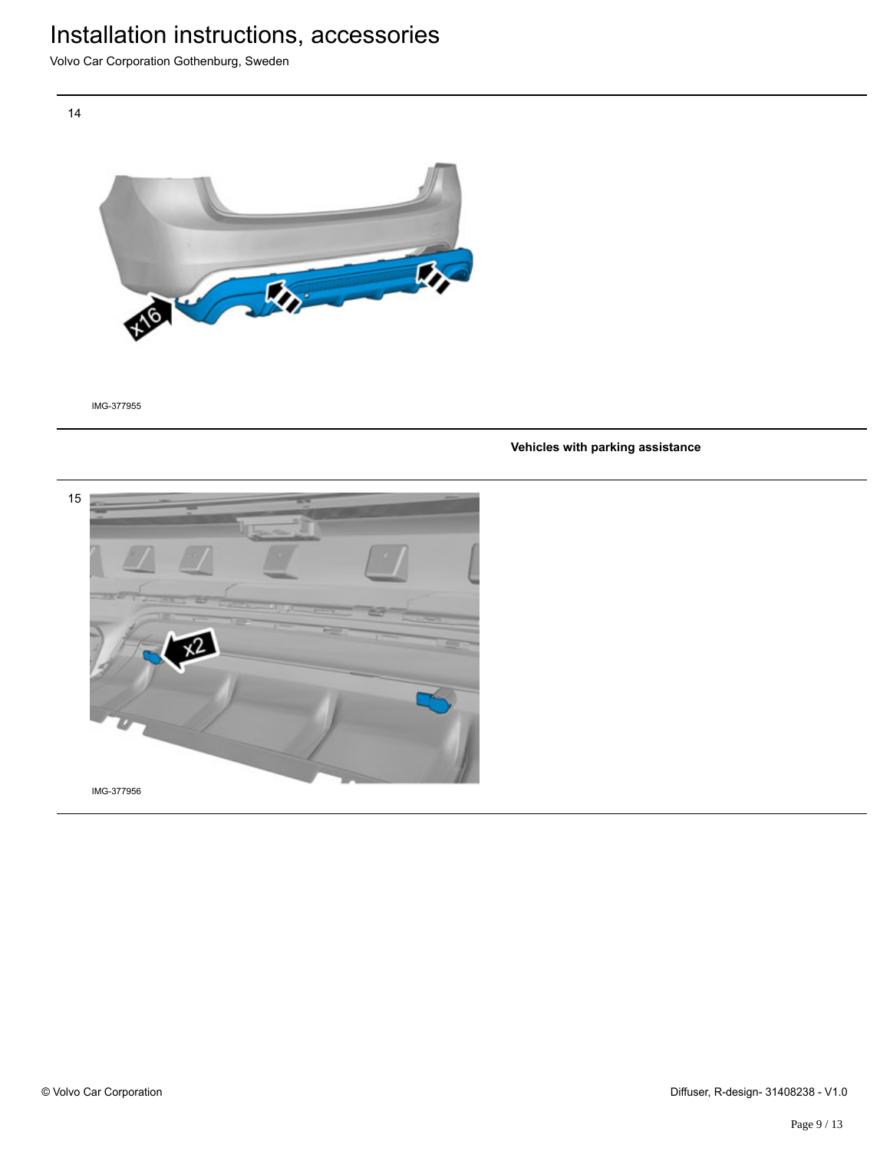Volvo Car Corporation Gothenburg, Sweden

14



IMG-377955

#### **Vehicles with parking assistance**

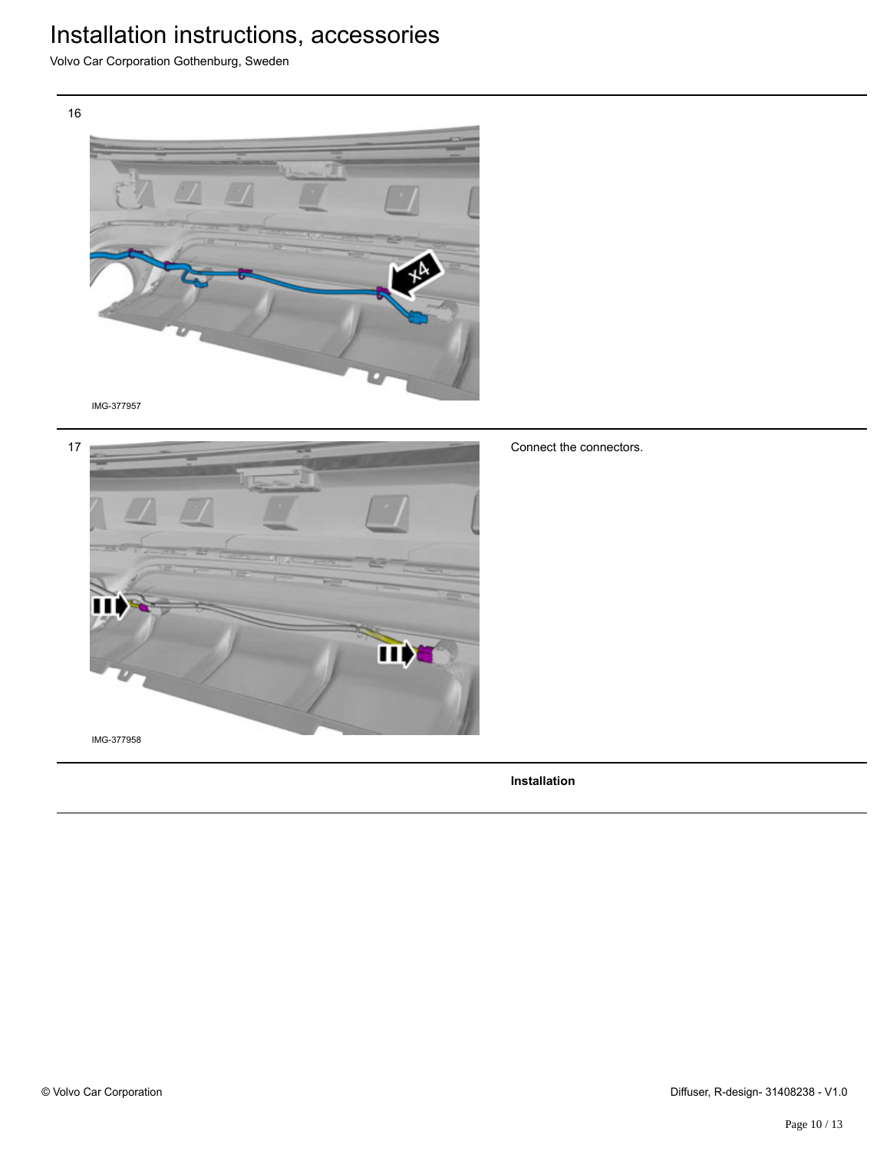Volvo Car Corporation Gothenburg, Sweden



IMG-377957



Connect the connectors.

**Installation**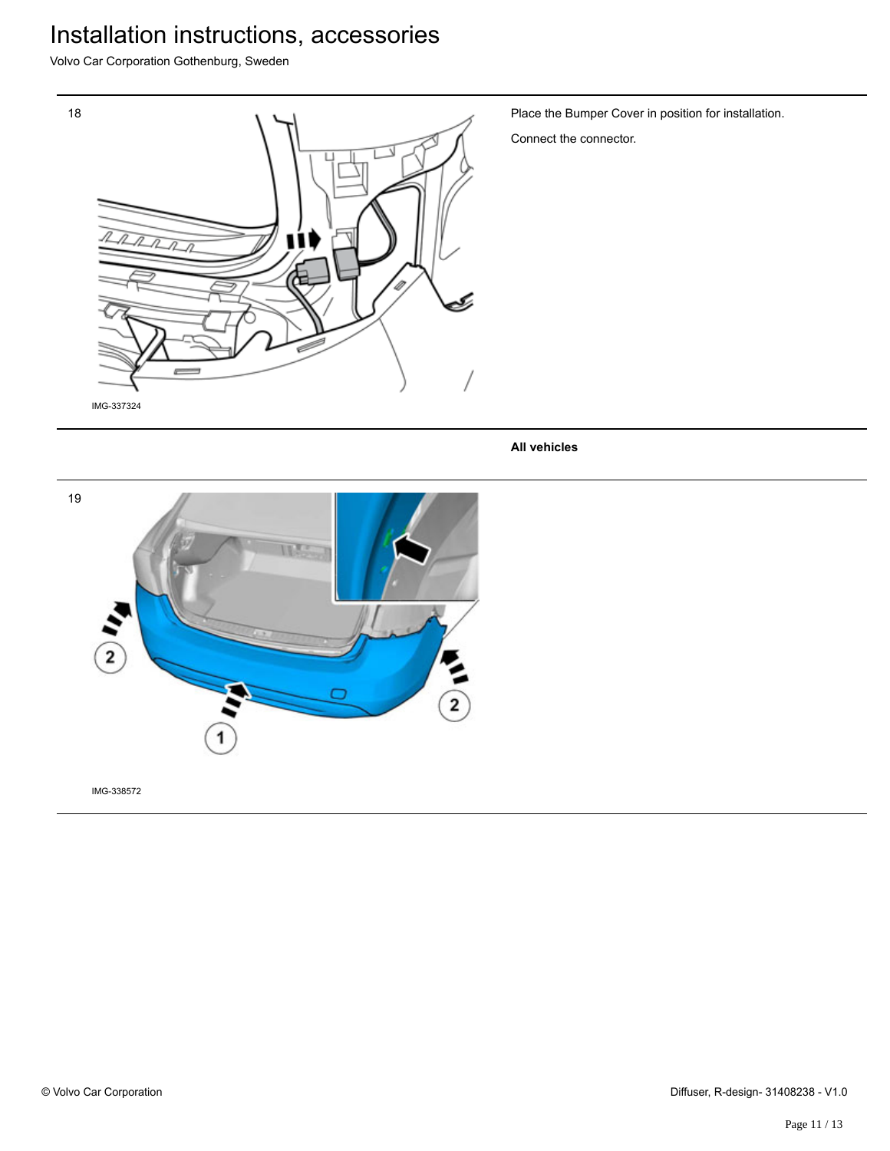Volvo Car Corporation Gothenburg, Sweden



Place the Bumper Cover in position for installation.

Connect the connector.

**All vehicles**

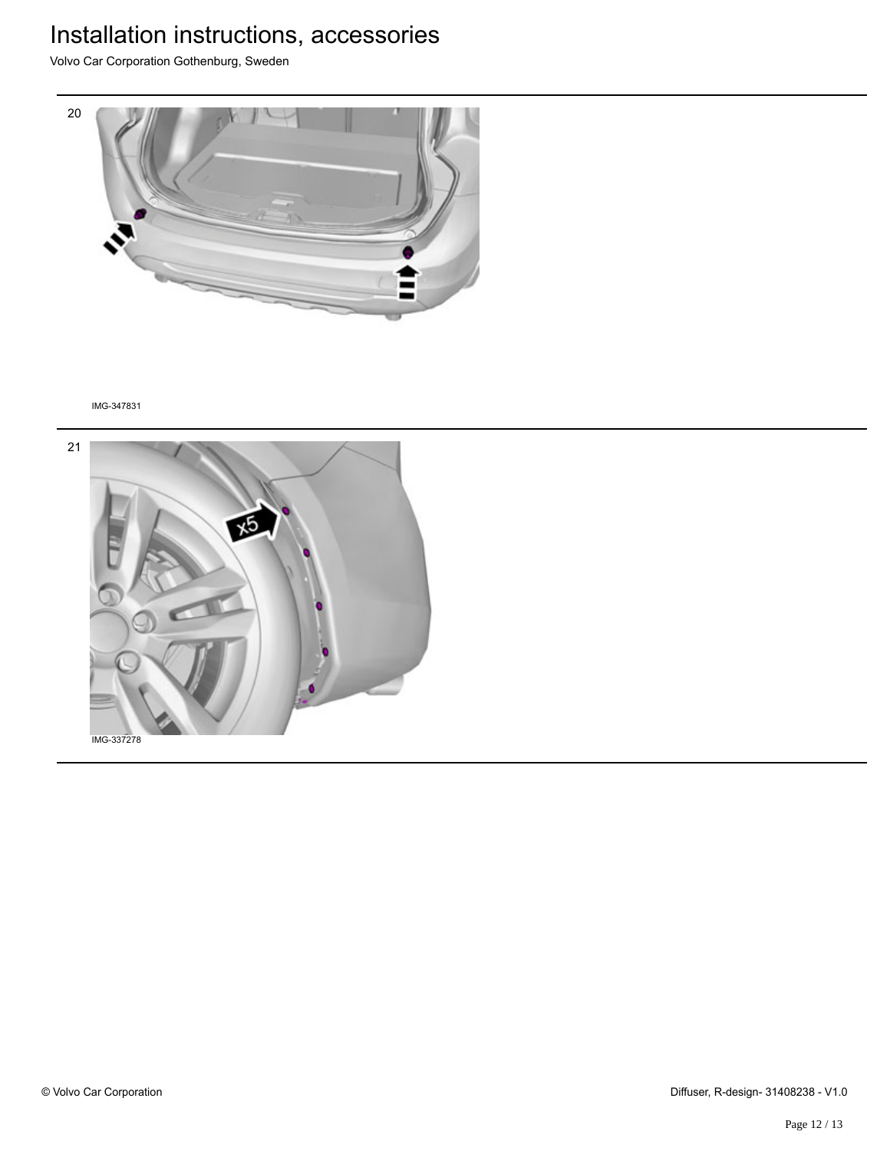Volvo Car Corporation Gothenburg, Sweden